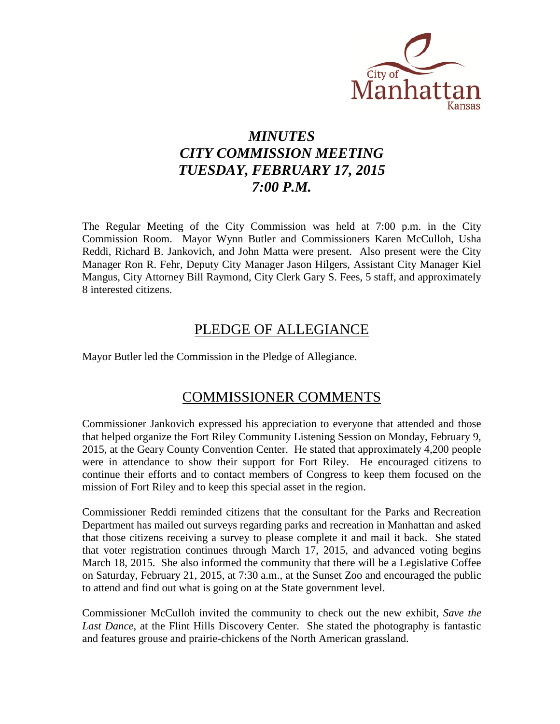

# *MINUTES CITY COMMISSION MEETING TUESDAY, FEBRUARY 17, 2015 7:00 P.M.*

The Regular Meeting of the City Commission was held at 7:00 p.m. in the City Commission Room. Mayor Wynn Butler and Commissioners Karen McCulloh, Usha Reddi, Richard B. Jankovich, and John Matta were present. Also present were the City Manager Ron R. Fehr, Deputy City Manager Jason Hilgers, Assistant City Manager Kiel Mangus, City Attorney Bill Raymond, City Clerk Gary S. Fees, 5 staff, and approximately 8 interested citizens.

## PLEDGE OF ALLEGIANCE

Mayor Butler led the Commission in the Pledge of Allegiance.

## COMMISSIONER COMMENTS

Commissioner Jankovich expressed his appreciation to everyone that attended and those that helped organize the Fort Riley Community Listening Session on Monday, February 9, 2015, at the Geary County Convention Center. He stated that approximately 4,200 people were in attendance to show their support for Fort Riley. He encouraged citizens to continue their efforts and to contact members of Congress to keep them focused on the mission of Fort Riley and to keep this special asset in the region.

Commissioner Reddi reminded citizens that the consultant for the Parks and Recreation Department has mailed out surveys regarding parks and recreation in Manhattan and asked that those citizens receiving a survey to please complete it and mail it back. She stated that voter registration continues through March 17, 2015, and advanced voting begins March 18, 2015. She also informed the community that there will be a Legislative Coffee on Saturday, February 21, 2015, at 7:30 a.m., at the Sunset Zoo and encouraged the public to attend and find out what is going on at the State government level.

Commissioner McCulloh invited the community to check out the new exhibit, *Save the Last Dance*, at the Flint Hills Discovery Center. She stated the photography is fantastic and features grouse and prairie-chickens of the North American grassland.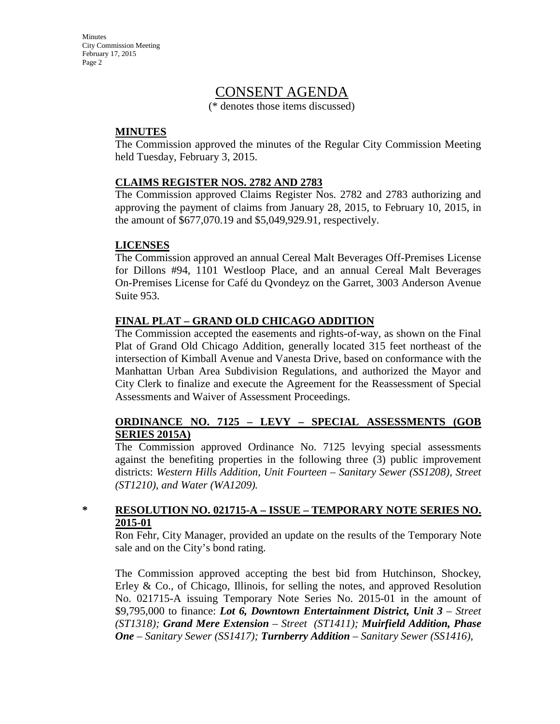## CONSENT AGENDA

(\* denotes those items discussed)

#### **MINUTES**

The Commission approved the minutes of the Regular City Commission Meeting held Tuesday, February 3, 2015.

#### **CLAIMS REGISTER NOS. 2782 AND 2783**

The Commission approved Claims Register Nos. 2782 and 2783 authorizing and approving the payment of claims from January 28, 2015, to February 10, 2015, in the amount of \$677,070.19 and \$5,049,929.91, respectively.

#### **LICENSES**

The Commission approved an annual Cereal Malt Beverages Off-Premises License for Dillons #94, 1101 Westloop Place, and an annual Cereal Malt Beverages On-Premises License for Café du Qvondeyz on the Garret, 3003 Anderson Avenue Suite 953.

#### **FINAL PLAT – GRAND OLD CHICAGO ADDITION**

The Commission accepted the easements and rights-of-way, as shown on the Final Plat of Grand Old Chicago Addition, generally located 315 feet northeast of the intersection of Kimball Avenue and Vanesta Drive, based on conformance with the Manhattan Urban Area Subdivision Regulations, and authorized the Mayor and City Clerk to finalize and execute the Agreement for the Reassessment of Special Assessments and Waiver of Assessment Proceedings.

#### **ORDINANCE NO. 7125 – LEVY – SPECIAL ASSESSMENTS (GOB SERIES 2015A)**

The Commission approved Ordinance No. 7125 levying special assessments against the benefiting properties in the following three (3) public improvement districts: *Western Hills Addition, Unit Fourteen – Sanitary Sewer (SS1208), Street (ST1210), and Water (WA1209).*

#### **\* RESOLUTION NO. 021715-A – ISSUE – TEMPORARY NOTE SERIES NO. 2015-01**

Ron Fehr, City Manager, provided an update on the results of the Temporary Note sale and on the City's bond rating.

The Commission approved accepting the best bid from Hutchinson, Shockey, Erley & Co., of Chicago, Illinois, for selling the notes, and approved Resolution No. 021715-A issuing Temporary Note Series No. 2015-01 in the amount of \$9,795,000 to finance: *Lot 6, Downtown Entertainment District, Unit 3 – Street (ST1318); Grand Mere Extension – Street (ST1411); Muirfield Addition, Phase One – Sanitary Sewer (SS1417); Turnberry Addition – Sanitary Sewer (SS1416),*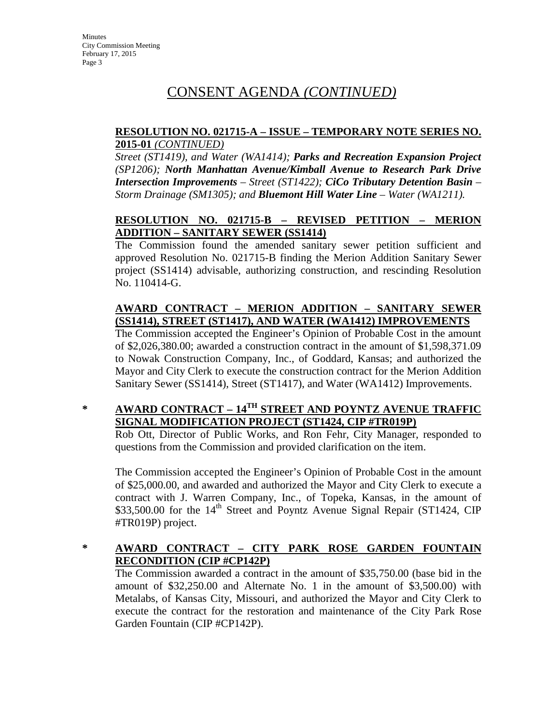# CONSENT AGENDA *(CONTINUED)*

#### **RESOLUTION NO. 021715-A – ISSUE – TEMPORARY NOTE SERIES NO. 2015-01** *(CONTINUED)*

*Street (ST1419), and Water (WA1414); Parks and Recreation Expansion Project (SP1206); North Manhattan Avenue/Kimball Avenue to Research Park Drive Intersection Improvements – Street (ST1422); CiCo Tributary Detention Basin – Storm Drainage (SM1305); and Bluemont Hill Water Line – Water (WA1211).*

### **RESOLUTION NO. 021715-B – REVISED PETITION – MERION ADDITION – SANITARY SEWER (SS1414)**

The Commission found the amended sanitary sewer petition sufficient and approved Resolution No. 021715-B finding the Merion Addition Sanitary Sewer project (SS1414) advisable, authorizing construction, and rescinding Resolution No. 110414-G.

### **AWARD CONTRACT – MERION ADDITION – SANITARY SEWER (SS1414), STREET (ST1417), AND WATER (WA1412) IMPROVEMENTS**

The Commission accepted the Engineer's Opinion of Probable Cost in the amount of \$2,026,380.00; awarded a construction contract in the amount of \$1,598,371.09 to Nowak Construction Company, Inc., of Goddard, Kansas; and authorized the Mayor and City Clerk to execute the construction contract for the Merion Addition Sanitary Sewer (SS1414), Street (ST1417), and Water (WA1412) Improvements.

## **\* AWARD CONTRACT – 14TH STREET AND POYNTZ AVENUE TRAFFIC SIGNAL MODIFICATION PROJECT (ST1424, CIP #TR019P)**

Rob Ott, Director of Public Works, and Ron Fehr, City Manager, responded to questions from the Commission and provided clarification on the item.

The Commission accepted the Engineer's Opinion of Probable Cost in the amount of \$25,000.00, and awarded and authorized the Mayor and City Clerk to execute a contract with J. Warren Company, Inc., of Topeka, Kansas, in the amount of \$33,500.00 for the 14<sup>th</sup> Street and Poyntz Avenue Signal Repair (ST1424, CIP #TR019P) project.

### **\* AWARD CONTRACT – CITY PARK ROSE GARDEN FOUNTAIN RECONDITION (CIP #CP142P)**

The Commission awarded a contract in the amount of \$35,750.00 (base bid in the amount of \$32,250.00 and Alternate No. 1 in the amount of \$3,500.00) with Metalabs, of Kansas City, Missouri, and authorized the Mayor and City Clerk to execute the contract for the restoration and maintenance of the City Park Rose Garden Fountain (CIP #CP142P).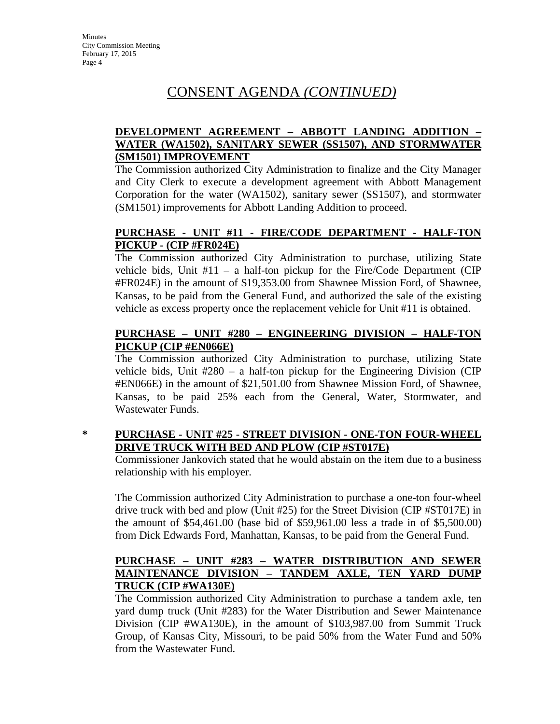# CONSENT AGENDA *(CONTINUED)*

#### **DEVELOPMENT AGREEMENT – ABBOTT LANDING ADDITION – WATER (WA1502), SANITARY SEWER (SS1507), AND STORMWATER (SM1501) IMPROVEMENT**

The Commission authorized City Administration to finalize and the City Manager and City Clerk to execute a development agreement with Abbott Management Corporation for the water (WA1502), sanitary sewer (SS1507), and stormwater (SM1501) improvements for Abbott Landing Addition to proceed.

#### **PURCHASE - UNIT #11 - FIRE/CODE DEPARTMENT - HALF-TON PICKUP - (CIP #FR024E)**

The Commission authorized City Administration to purchase, utilizing State vehicle bids, Unit #11 – a half-ton pickup for the Fire/Code Department (CIP #FR024E) in the amount of \$19,353.00 from Shawnee Mission Ford, of Shawnee, Kansas, to be paid from the General Fund, and authorized the sale of the existing vehicle as excess property once the replacement vehicle for Unit #11 is obtained.

#### **PURCHASE – UNIT #280 – ENGINEERING DIVISION – HALF-TON PICKUP (CIP #EN066E)**

The Commission authorized City Administration to purchase, utilizing State vehicle bids, Unit  $\#280 - a$  half-ton pickup for the Engineering Division (CIP #EN066E) in the amount of \$21,501.00 from Shawnee Mission Ford, of Shawnee, Kansas, to be paid 25% each from the General, Water, Stormwater, and Wastewater Funds.

### **\* PURCHASE - UNIT #25 - STREET DIVISION - ONE-TON FOUR-WHEEL DRIVE TRUCK WITH BED AND PLOW (CIP #ST017E)**

Commissioner Jankovich stated that he would abstain on the item due to a business relationship with his employer.

The Commission authorized City Administration to purchase a one-ton four-wheel drive truck with bed and plow (Unit #25) for the Street Division (CIP #ST017E) in the amount of \$54,461.00 (base bid of \$59,961.00 less a trade in of \$5,500.00) from Dick Edwards Ford, Manhattan, Kansas, to be paid from the General Fund.

#### **PURCHASE – UNIT #283 – WATER DISTRIBUTION AND SEWER MAINTENANCE DIVISION – TANDEM AXLE, TEN YARD DUMP TRUCK (CIP #WA130E)**

The Commission authorized City Administration to purchase a tandem axle, ten yard dump truck (Unit #283) for the Water Distribution and Sewer Maintenance Division (CIP #WA130E), in the amount of \$103,987.00 from Summit Truck Group, of Kansas City, Missouri, to be paid 50% from the Water Fund and 50% from the Wastewater Fund.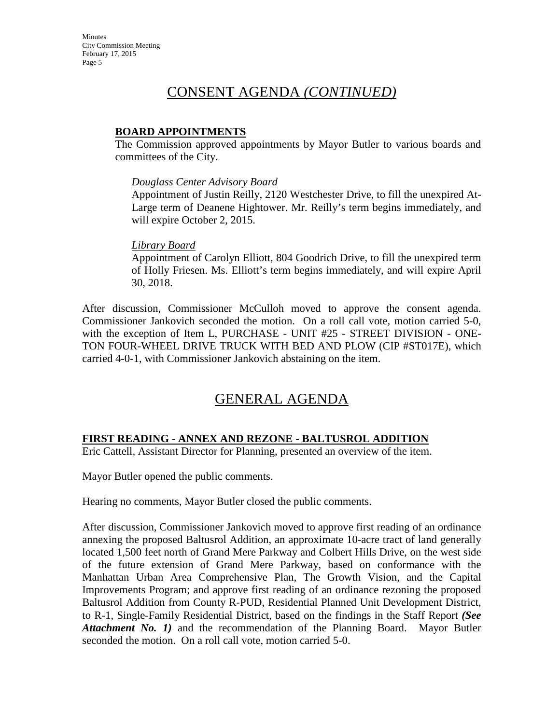# CONSENT AGENDA *(CONTINUED)*

#### **BOARD APPOINTMENTS**

The Commission approved appointments by Mayor Butler to various boards and committees of the City.

#### *Douglass Center Advisory Board*

Appointment of Justin Reilly, 2120 Westchester Drive, to fill the unexpired At-Large term of Deanene Hightower. Mr. Reilly's term begins immediately, and will expire October 2, 2015.

#### *Library Board*

Appointment of Carolyn Elliott, 804 Goodrich Drive, to fill the unexpired term of Holly Friesen. Ms. Elliott's term begins immediately, and will expire April 30, 2018.

After discussion, Commissioner McCulloh moved to approve the consent agenda. Commissioner Jankovich seconded the motion. On a roll call vote, motion carried 5-0, with the exception of Item L, PURCHASE - UNIT #25 - STREET DIVISION - ONE-TON FOUR-WHEEL DRIVE TRUCK WITH BED AND PLOW (CIP #ST017E), which carried 4-0-1, with Commissioner Jankovich abstaining on the item.

# GENERAL AGENDA

#### **FIRST READING - ANNEX AND REZONE - BALTUSROL ADDITION**

Eric Cattell, Assistant Director for Planning, presented an overview of the item.

Mayor Butler opened the public comments.

Hearing no comments, Mayor Butler closed the public comments.

After discussion, Commissioner Jankovich moved to approve first reading of an ordinance annexing the proposed Baltusrol Addition, an approximate 10-acre tract of land generally located 1,500 feet north of Grand Mere Parkway and Colbert Hills Drive, on the west side of the future extension of Grand Mere Parkway, based on conformance with the Manhattan Urban Area Comprehensive Plan, The Growth Vision, and the Capital Improvements Program; and approve first reading of an ordinance rezoning the proposed Baltusrol Addition from County R-PUD, Residential Planned Unit Development District, to R-1, Single-Family Residential District, based on the findings in the Staff Report *(See Attachment No. 1)* and the recommendation of the Planning Board. Mayor Butler seconded the motion. On a roll call vote, motion carried 5-0.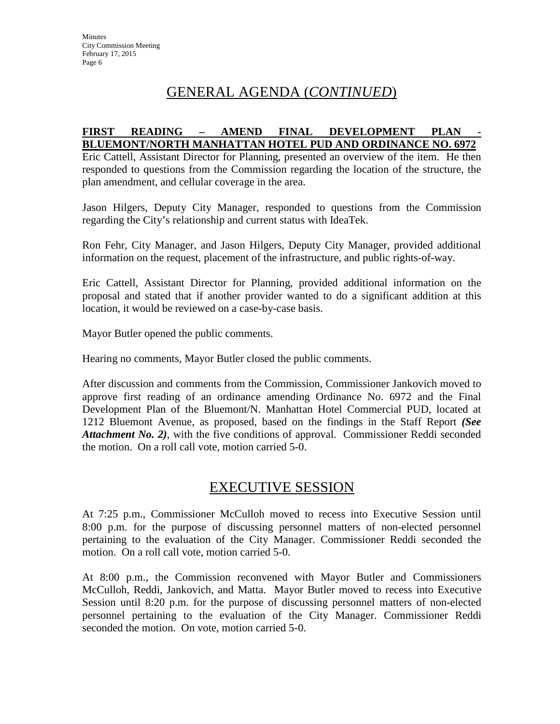# GENERAL AGENDA (*CONTINUED*)

#### **FIRST READING – AMEND FINAL DEVELOPMENT PLAN - BLUEMONT/NORTH MANHATTAN HOTEL PUD AND ORDINANCE NO. 6972**

Eric Cattell, Assistant Director for Planning, presented an overview of the item. He then responded to questions from the Commission regarding the location of the structure, the plan amendment, and cellular coverage in the area.

Jason Hilgers, Deputy City Manager, responded to questions from the Commission regarding the City's relationship and current status with IdeaTek.

Ron Fehr, City Manager, and Jason Hilgers, Deputy City Manager, provided additional information on the request, placement of the infrastructure, and public rights-of-way.

Eric Cattell, Assistant Director for Planning, provided additional information on the proposal and stated that if another provider wanted to do a significant addition at this location, it would be reviewed on a case-by-case basis.

Mayor Butler opened the public comments.

Hearing no comments, Mayor Butler closed the public comments.

After discussion and comments from the Commission, Commissioner Jankovich moved to approve first reading of an ordinance amending Ordinance No. 6972 and the Final Development Plan of the Bluemont/N. Manhattan Hotel Commercial PUD, located at 1212 Bluemont Avenue, as proposed, based on the findings in the Staff Report *(See Attachment No. 2)*, with the five conditions of approval. Commissioner Reddi seconded the motion. On a roll call vote, motion carried 5-0.

# EXECUTIVE SESSION

At 7:25 p.m., Commissioner McCulloh moved to recess into Executive Session until 8:00 p.m. for the purpose of discussing personnel matters of non-elected personnel pertaining to the evaluation of the City Manager. Commissioner Reddi seconded the motion. On a roll call vote, motion carried 5-0.

At 8:00 p.m., the Commission reconvened with Mayor Butler and Commissioners McCulloh, Reddi, Jankovich, and Matta. Mayor Butler moved to recess into Executive Session until 8:20 p.m. for the purpose of discussing personnel matters of non-elected personnel pertaining to the evaluation of the City Manager. Commissioner Reddi seconded the motion. On vote, motion carried 5-0.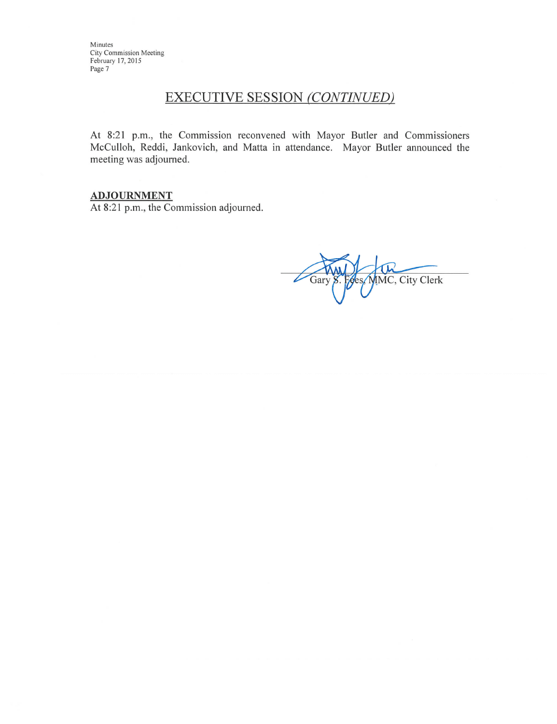# **EXECUTIVE SESSION (CONTINUED)**

At 8:21 p.m., the Commission reconvened with Mayor Butler and Commissioners McCulloh, Reddi, Jankovich, and Matta in attendance. Mayor Butler announced the meeting was adjourned.

#### **ADJOURNMENT**

At 8:21 p.m., the Commission adjourned.

IMC, City Clerk Gary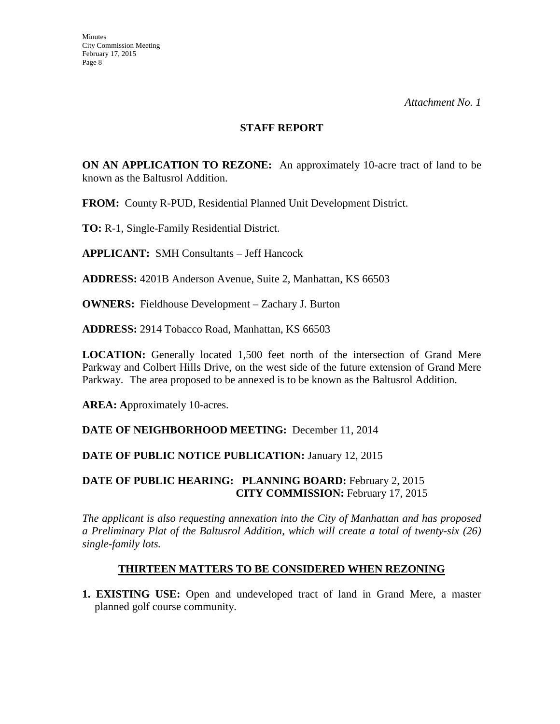#### **STAFF REPORT**

**ON AN APPLICATION TO REZONE:** An approximately 10-acre tract of land to be known as the Baltusrol Addition.

**FROM:** County R-PUD, Residential Planned Unit Development District.

**TO:** R-1, Single-Family Residential District.

**APPLICANT:** SMH Consultants – Jeff Hancock

**ADDRESS:** 4201B Anderson Avenue, Suite 2, Manhattan, KS 66503

**OWNERS:** Fieldhouse Development – Zachary J. Burton

**ADDRESS:** 2914 Tobacco Road, Manhattan, KS 66503

**LOCATION:** Generally located 1,500 feet north of the intersection of Grand Mere Parkway and Colbert Hills Drive, on the west side of the future extension of Grand Mere Parkway. The area proposed to be annexed is to be known as the Baltusrol Addition.

**AREA: A**pproximately 10-acres.

**DATE OF NEIGHBORHOOD MEETING:** December 11, 2014

#### **DATE OF PUBLIC NOTICE PUBLICATION: January 12, 2015**

#### **DATE OF PUBLIC HEARING: PLANNING BOARD:** February 2, 2015 **CITY COMMISSION:** February 17, 2015

*The applicant is also requesting annexation into the City of Manhattan and has proposed a Preliminary Plat of the Baltusrol Addition*, *which will create a total of twenty-six (26) single-family lots.*

#### **THIRTEEN MATTERS TO BE CONSIDERED WHEN REZONING**

**1. EXISTING USE:** Open and undeveloped tract of land in Grand Mere, a master planned golf course community.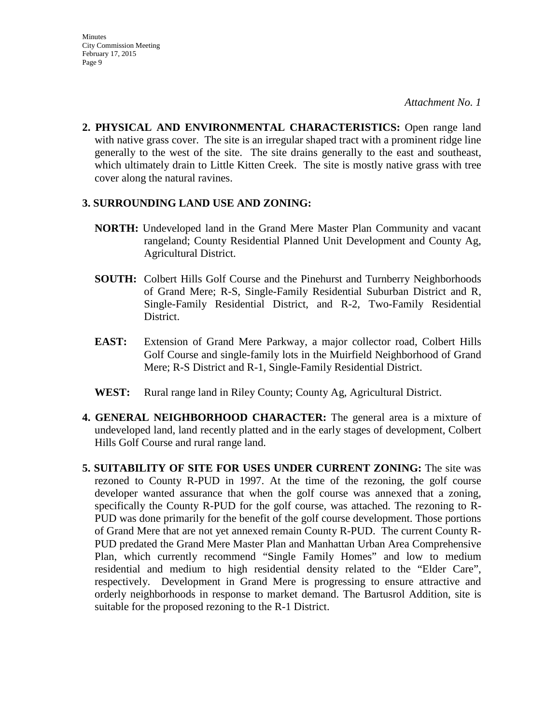**2. PHYSICAL AND ENVIRONMENTAL CHARACTERISTICS:** Open range land with native grass cover. The site is an irregular shaped tract with a prominent ridge line generally to the west of the site. The site drains generally to the east and southeast, which ultimately drain to Little Kitten Creek. The site is mostly native grass with tree cover along the natural ravines.

#### **3. SURROUNDING LAND USE AND ZONING:**

- **NORTH:** Undeveloped land in the Grand Mere Master Plan Community and vacant rangeland; County Residential Planned Unit Development and County Ag, Agricultural District.
- **SOUTH:** Colbert Hills Golf Course and the Pinehurst and Turnberry Neighborhoods of Grand Mere; R-S, Single-Family Residential Suburban District and R, Single-Family Residential District, and R-2, Two-Family Residential District.
- **EAST:** Extension of Grand Mere Parkway, a major collector road, Colbert Hills Golf Course and single-family lots in the Muirfield Neighborhood of Grand Mere; R-S District and R-1, Single-Family Residential District.
- **WEST:** Rural range land in Riley County; County Ag, Agricultural District.
- **4. GENERAL NEIGHBORHOOD CHARACTER:** The general area is a mixture of undeveloped land, land recently platted and in the early stages of development, Colbert Hills Golf Course and rural range land.
- **5. SUITABILITY OF SITE FOR USES UNDER CURRENT ZONING:** The site was rezoned to County R-PUD in 1997. At the time of the rezoning, the golf course developer wanted assurance that when the golf course was annexed that a zoning, specifically the County R-PUD for the golf course, was attached. The rezoning to R-PUD was done primarily for the benefit of the golf course development. Those portions of Grand Mere that are not yet annexed remain County R-PUD. The current County R-PUD predated the Grand Mere Master Plan and Manhattan Urban Area Comprehensive Plan, which currently recommend "Single Family Homes" and low to medium residential and medium to high residential density related to the "Elder Care", respectively. Development in Grand Mere is progressing to ensure attractive and orderly neighborhoods in response to market demand. The Bartusrol Addition, site is suitable for the proposed rezoning to the R-1 District.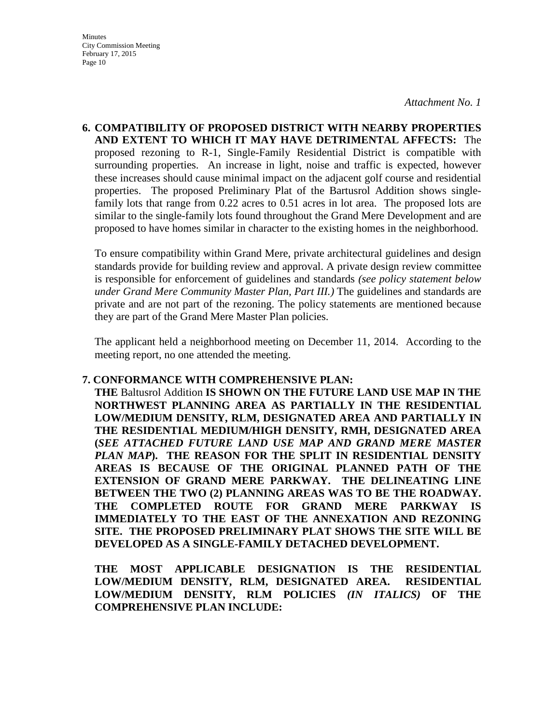**6. COMPATIBILITY OF PROPOSED DISTRICT WITH NEARBY PROPERTIES AND EXTENT TO WHICH IT MAY HAVE DETRIMENTAL AFFECTS:** The proposed rezoning to R-1, Single-Family Residential District is compatible with surrounding properties. An increase in light, noise and traffic is expected, however these increases should cause minimal impact on the adjacent golf course and residential properties. The proposed Preliminary Plat of the Bartusrol Addition shows singlefamily lots that range from 0.22 acres to 0.51 acres in lot area. The proposed lots are similar to the single-family lots found throughout the Grand Mere Development and are proposed to have homes similar in character to the existing homes in the neighborhood.

To ensure compatibility within Grand Mere, private architectural guidelines and design standards provide for building review and approval. A private design review committee is responsible for enforcement of guidelines and standards *(see policy statement below under Grand Mere Community Master Plan, Part III.)* The guidelines and standards are private and are not part of the rezoning. The policy statements are mentioned because they are part of the Grand Mere Master Plan policies.

The applicant held a neighborhood meeting on December 11, 2014. According to the meeting report, no one attended the meeting.

#### **7. CONFORMANCE WITH COMPREHENSIVE PLAN:**

**THE** Baltusrol Addition **IS SHOWN ON THE FUTURE LAND USE MAP IN THE NORTHWEST PLANNING AREA AS PARTIALLY IN THE RESIDENTIAL LOW/MEDIUM DENSITY, RLM, DESIGNATED AREA AND PARTIALLY IN THE RESIDENTIAL MEDIUM/HIGH DENSITY, RMH, DESIGNATED AREA (***SEE ATTACHED FUTURE LAND USE MAP AND GRAND MERE MASTER PLAN MAP***). THE REASON FOR THE SPLIT IN RESIDENTIAL DENSITY AREAS IS BECAUSE OF THE ORIGINAL PLANNED PATH OF THE EXTENSION OF GRAND MERE PARKWAY. THE DELINEATING LINE BETWEEN THE TWO (2) PLANNING AREAS WAS TO BE THE ROADWAY. THE COMPLETED ROUTE FOR GRAND MERE PARKWAY IS IMMEDIATELY TO THE EAST OF THE ANNEXATION AND REZONING SITE. THE PROPOSED PRELIMINARY PLAT SHOWS THE SITE WILL BE DEVELOPED AS A SINGLE-FAMILY DETACHED DEVELOPMENT.** 

**THE MOST APPLICABLE DESIGNATION IS THE RESIDENTIAL LOW/MEDIUM DENSITY, RLM, DESIGNATED AREA. RESIDENTIAL LOW/MEDIUM DENSITY, RLM POLICIES** *(IN ITALICS)* **OF THE COMPREHENSIVE PLAN INCLUDE:**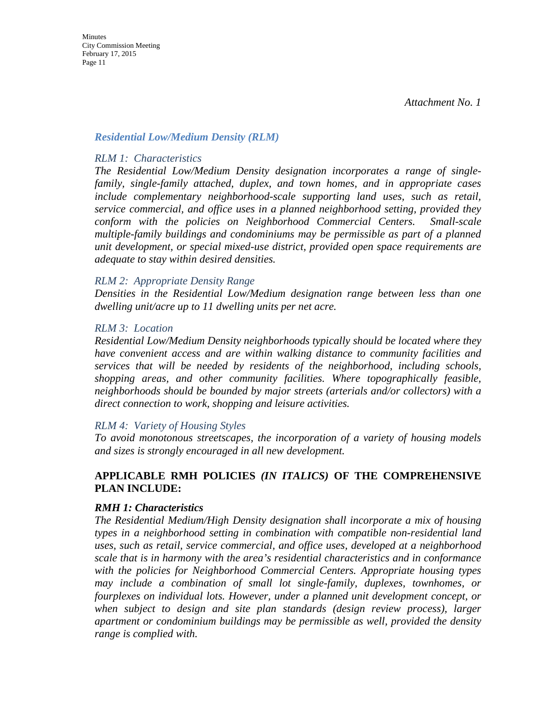#### *Residential Low/Medium Density (RLM)*

#### *RLM 1: Characteristics*

*The Residential Low/Medium Density designation incorporates a range of singlefamily, single-family attached, duplex, and town homes, and in appropriate cases include complementary neighborhood-scale supporting land uses, such as retail, service commercial, and office uses in a planned neighborhood setting, provided they conform with the policies on Neighborhood Commercial Centers. Small-scale multiple-family buildings and condominiums may be permissible as part of a planned unit development, or special mixed-use district, provided open space requirements are adequate to stay within desired densities.* 

#### *RLM 2: Appropriate Density Range*

*Densities in the Residential Low/Medium designation range between less than one dwelling unit/acre up to 11 dwelling units per net acre.* 

#### *RLM 3: Location*

*Residential Low/Medium Density neighborhoods typically should be located where they have convenient access and are within walking distance to community facilities and services that will be needed by residents of the neighborhood, including schools, shopping areas, and other community facilities. Where topographically feasible, neighborhoods should be bounded by major streets (arterials and/or collectors) with a direct connection to work, shopping and leisure activities.* 

#### *RLM 4: Variety of Housing Styles*

*To avoid monotonous streetscapes, the incorporation of a variety of housing models and sizes is strongly encouraged in all new development.* 

#### **APPLICABLE RMH POLICIES** *(IN ITALICS)* **OF THE COMPREHENSIVE PLAN INCLUDE:**

#### *RMH 1: Characteristics*

*The Residential Medium/High Density designation shall incorporate a mix of housing types in a neighborhood setting in combination with compatible non-residential land uses, such as retail, service commercial, and office uses, developed at a neighborhood scale that is in harmony with the area's residential characteristics and in conformance with the policies for Neighborhood Commercial Centers. Appropriate housing types may include a combination of small lot single-family, duplexes, townhomes, or fourplexes on individual lots. However, under a planned unit development concept, or when subject to design and site plan standards (design review process), larger apartment or condominium buildings may be permissible as well, provided the density range is complied with.*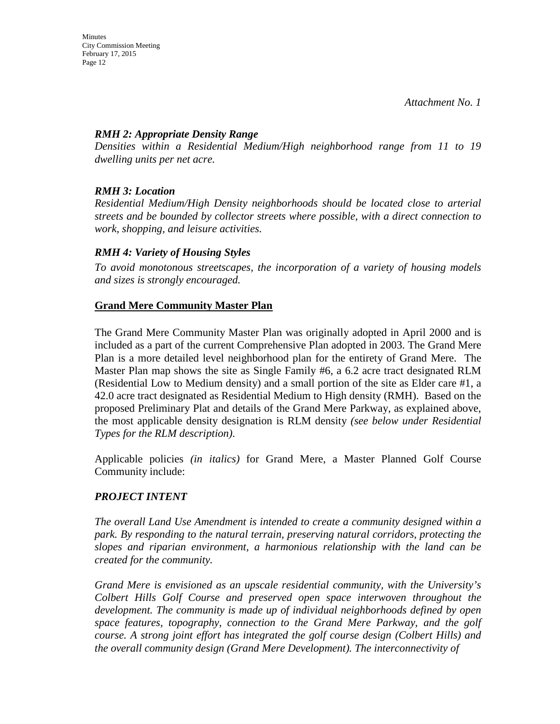#### *RMH 2: Appropriate Density Range*

*Densities within a Residential Medium/High neighborhood range from 11 to 19 dwelling units per net acre.* 

#### *RMH 3: Location*

*Residential Medium/High Density neighborhoods should be located close to arterial streets and be bounded by collector streets where possible, with a direct connection to work, shopping, and leisure activities.* 

#### *RMH 4: Variety of Housing Styles*

*To avoid monotonous streetscapes, the incorporation of a variety of housing models and sizes is strongly encouraged.*

#### **Grand Mere Community Master Plan**

The Grand Mere Community Master Plan was originally adopted in April 2000 and is included as a part of the current Comprehensive Plan adopted in 2003. The Grand Mere Plan is a more detailed level neighborhood plan for the entirety of Grand Mere. The Master Plan map shows the site as Single Family #6, a 6.2 acre tract designated RLM (Residential Low to Medium density) and a small portion of the site as Elder care #1, a 42.0 acre tract designated as Residential Medium to High density (RMH). Based on the proposed Preliminary Plat and details of the Grand Mere Parkway, as explained above, the most applicable density designation is RLM density *(see below under Residential Types for the RLM description)*.

Applicable policies *(in italics)* for Grand Mere, a Master Planned Golf Course Community include:

#### *PROJECT INTENT*

*The overall Land Use Amendment is intended to create a community designed within a park. By responding to the natural terrain, preserving natural corridors, protecting the slopes and riparian environment, a harmonious relationship with the land can be created for the community.*

*Grand Mere is envisioned as an upscale residential community, with the University's Colbert Hills Golf Course and preserved open space interwoven throughout the development. The community is made up of individual neighborhoods defined by open space features, topography, connection to the Grand Mere Parkway, and the golf course. A strong joint effort has integrated the golf course design (Colbert Hills) and the overall community design (Grand Mere Development). The interconnectivity of*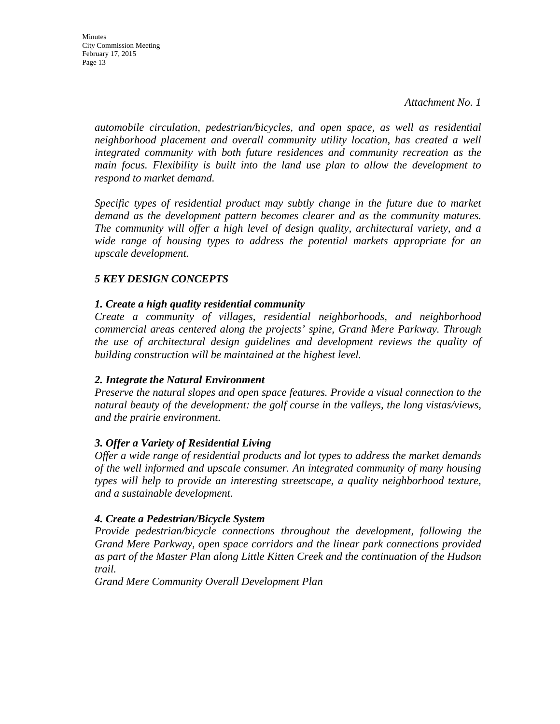**Minutes** City Commission Meeting February 17, 2015 Page 13

> *automobile circulation, pedestrian/bicycles, and open space, as well as residential neighborhood placement and overall community utility location, has created a well integrated community with both future residences and community recreation as the main focus. Flexibility is built into the land use plan to allow the development to respond to market demand.*

> *Specific types of residential product may subtly change in the future due to market demand as the development pattern becomes clearer and as the community matures. The community will offer a high level of design quality, architectural variety, and a wide range of housing types to address the potential markets appropriate for an upscale development.*

#### *5 KEY DESIGN CONCEPTS*

#### *1. Create a high quality residential community*

*Create a community of villages, residential neighborhoods, and neighborhood commercial areas centered along the projects' spine, Grand Mere Parkway. Through the use of architectural design guidelines and development reviews the quality of building construction will be maintained at the highest level.*

#### *2. Integrate the Natural Environment*

*Preserve the natural slopes and open space features. Provide a visual connection to the natural beauty of the development: the golf course in the valleys, the long vistas/views, and the prairie environment.*

#### *3. Offer a Variety of Residential Living*

*Offer a wide range of residential products and lot types to address the market demands of the well informed and upscale consumer. An integrated community of many housing types will help to provide an interesting streetscape, a quality neighborhood texture, and a sustainable development.*

#### *4. Create a Pedestrian/Bicycle System*

*Provide pedestrian/bicycle connections throughout the development, following the Grand Mere Parkway, open space corridors and the linear park connections provided as part of the Master Plan along Little Kitten Creek and the continuation of the Hudson trail.*

*Grand Mere Community Overall Development Plan*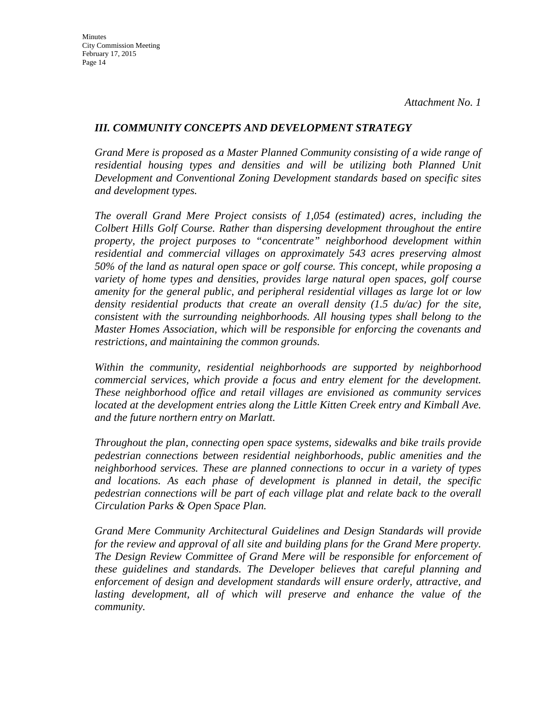#### *III. COMMUNITY CONCEPTS AND DEVELOPMENT STRATEGY*

*Grand Mere is proposed as a Master Planned Community consisting of a wide range of*  residential housing types and densities and will be utilizing both Planned Unit *Development and Conventional Zoning Development standards based on specific sites and development types.*

*The overall Grand Mere Project consists of 1,054 (estimated) acres, including the Colbert Hills Golf Course. Rather than dispersing development throughout the entire property, the project purposes to "concentrate" neighborhood development within residential and commercial villages on approximately 543 acres preserving almost 50% of the land as natural open space or golf course. This concept, while proposing a variety of home types and densities, provides large natural open spaces, golf course amenity for the general public, and peripheral residential villages as large lot or low density residential products that create an overall density (1.5 du/ac) for the site, consistent with the surrounding neighborhoods. All housing types shall belong to the Master Homes Association, which will be responsible for enforcing the covenants and restrictions, and maintaining the common grounds.*

*Within the community, residential neighborhoods are supported by neighborhood commercial services, which provide a focus and entry element for the development. These neighborhood office and retail villages are envisioned as community services located at the development entries along the Little Kitten Creek entry and Kimball Ave. and the future northern entry on Marlatt.*

*Throughout the plan, connecting open space systems, sidewalks and bike trails provide pedestrian connections between residential neighborhoods, public amenities and the neighborhood services. These are planned connections to occur in a variety of types and locations. As each phase of development is planned in detail, the specific pedestrian connections will be part of each village plat and relate back to the overall Circulation Parks & Open Space Plan.*

*Grand Mere Community Architectural Guidelines and Design Standards will provide for the review and approval of all site and building plans for the Grand Mere property. The Design Review Committee of Grand Mere will be responsible for enforcement of these guidelines and standards. The Developer believes that careful planning and enforcement of design and development standards will ensure orderly, attractive, and*  lasting development, all of which will preserve and enhance the value of the *community.*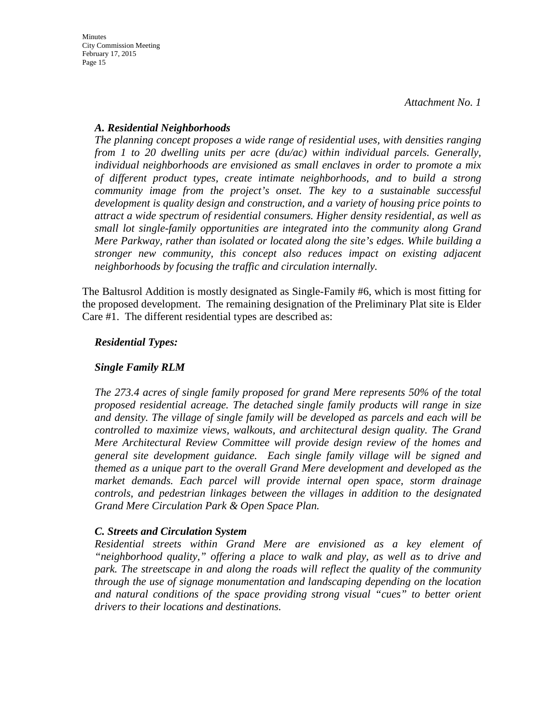#### *A. Residential Neighborhoods*

*The planning concept proposes a wide range of residential uses, with densities ranging from 1 to 20 dwelling units per acre (du/ac) within individual parcels. Generally, individual neighborhoods are envisioned as small enclaves in order to promote a mix of different product types, create intimate neighborhoods, and to build a strong community image from the project's onset. The key to a sustainable successful development is quality design and construction, and a variety of housing price points to attract a wide spectrum of residential consumers. Higher density residential, as well as small lot single-family opportunities are integrated into the community along Grand Mere Parkway, rather than isolated or located along the site's edges. While building a stronger new community, this concept also reduces impact on existing adjacent neighborhoods by focusing the traffic and circulation internally.*

The Baltusrol Addition is mostly designated as Single-Family #6, which is most fitting for the proposed development. The remaining designation of the Preliminary Plat site is Elder Care #1. The different residential types are described as:

#### *Residential Types:*

#### *Single Family RLM*

*The 273.4 acres of single family proposed for grand Mere represents 50% of the total proposed residential acreage. The detached single family products will range in size and density. The village of single family will be developed as parcels and each will be controlled to maximize views, walkouts, and architectural design quality. The Grand Mere Architectural Review Committee will provide design review of the homes and general site development guidance. Each single family village will be signed and themed as a unique part to the overall Grand Mere development and developed as the market demands. Each parcel will provide internal open space, storm drainage controls, and pedestrian linkages between the villages in addition to the designated Grand Mere Circulation Park & Open Space Plan.*

#### *C. Streets and Circulation System*

*Residential streets within Grand Mere are envisioned as a key element of "neighborhood quality," offering a place to walk and play, as well as to drive and park. The streetscape in and along the roads will reflect the quality of the community through the use of signage monumentation and landscaping depending on the location and natural conditions of the space providing strong visual "cues" to better orient drivers to their locations and destinations.*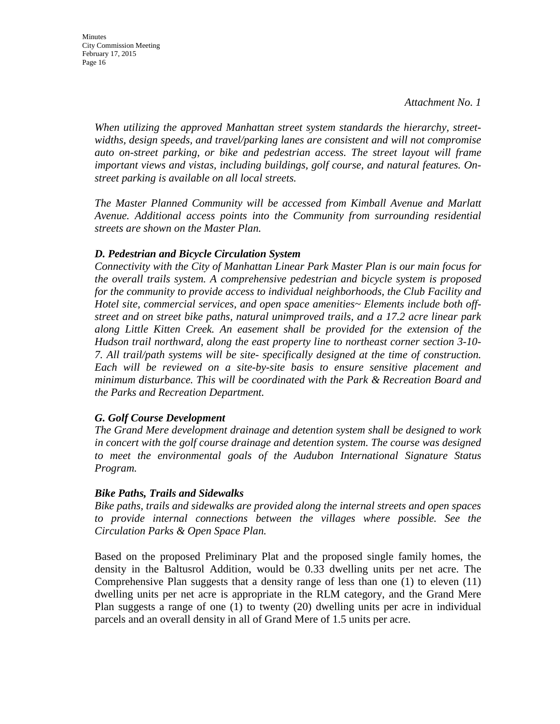*When utilizing the approved Manhattan street system standards the hierarchy, streetwidths, design speeds, and travel/parking lanes are consistent and will not compromise auto on-street parking, or bike and pedestrian access. The street layout will frame important views and vistas, including buildings, golf course, and natural features. Onstreet parking is available on all local streets.*

*The Master Planned Community will be accessed from Kimball Avenue and Marlatt Avenue. Additional access points into the Community from surrounding residential streets are shown on the Master Plan.*

#### *D. Pedestrian and Bicycle Circulation System*

*Connectivity with the City of Manhattan Linear Park Master Plan is our main focus for the overall trails system. A comprehensive pedestrian and bicycle system is proposed for the community to provide access to individual neighborhoods, the Club Facility and Hotel site, commercial services, and open space amenities~ Elements include both offstreet and on street bike paths, natural unimproved trails, and a 17.2 acre linear park along Little Kitten Creek. An easement shall be provided for the extension of the Hudson trail northward, along the east property line to northeast corner section 3-10- 7. All trail/path systems will be site- specifically designed at the time of construction. Each will be reviewed on a site-by-site basis to ensure sensitive placement and minimum disturbance. This will be coordinated with the Park & Recreation Board and the Parks and Recreation Department.*

#### *G. Golf Course Development*

*The Grand Mere development drainage and detention system shall be designed to work in concert with the golf course drainage and detention system. The course was designed to meet the environmental goals of the Audubon International Signature Status Program.*

#### *Bike Paths, Trails and Sidewalks*

*Bike paths, trails and sidewalks are provided along the internal streets and open spaces to provide internal connections between the villages where possible. See the Circulation Parks & Open Space Plan.*

Based on the proposed Preliminary Plat and the proposed single family homes, the density in the Baltusrol Addition, would be 0.33 dwelling units per net acre. The Comprehensive Plan suggests that a density range of less than one (1) to eleven (11) dwelling units per net acre is appropriate in the RLM category, and the Grand Mere Plan suggests a range of one (1) to twenty (20) dwelling units per acre in individual parcels and an overall density in all of Grand Mere of 1.5 units per acre.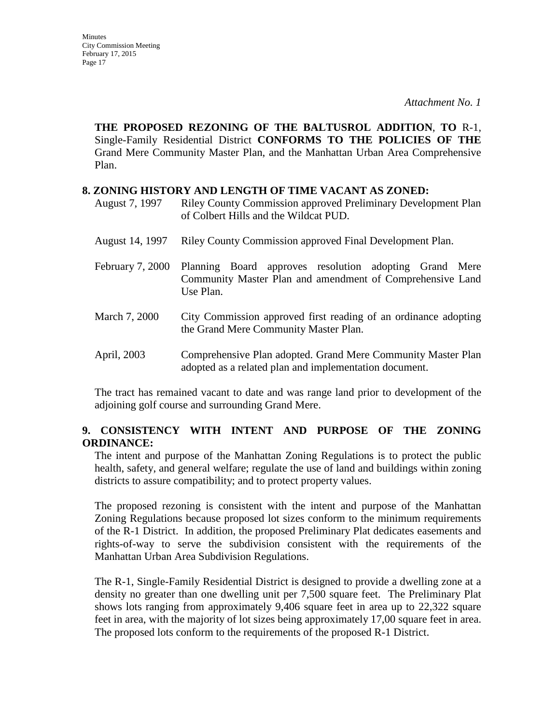**THE PROPOSED REZONING OF THE BALTUSROL ADDITION**, **TO** R-1, Single-Family Residential District **CONFORMS TO THE POLICIES OF THE**  Grand Mere Community Master Plan, and the Manhattan Urban Area Comprehensive Plan.

#### **8. ZONING HISTORY AND LENGTH OF TIME VACANT AS ZONED:**

- August 7, 1997 Riley County Commission approved Preliminary Development Plan of Colbert Hills and the Wildcat PUD.
- August 14, 1997 Riley County Commission approved Final Development Plan.
- February 7, 2000 Planning Board approves resolution adopting Grand Mere Community Master Plan and amendment of Comprehensive Land Use Plan.
- March 7, 2000 City Commission approved first reading of an ordinance adopting the Grand Mere Community Master Plan.
- April, 2003 Comprehensive Plan adopted. Grand Mere Community Master Plan adopted as a related plan and implementation document.

The tract has remained vacant to date and was range land prior to development of the adjoining golf course and surrounding Grand Mere.

### **9. CONSISTENCY WITH INTENT AND PURPOSE OF THE ZONING ORDINANCE:**

The intent and purpose of the Manhattan Zoning Regulations is to protect the public health, safety, and general welfare; regulate the use of land and buildings within zoning districts to assure compatibility; and to protect property values.

The proposed rezoning is consistent with the intent and purpose of the Manhattan Zoning Regulations because proposed lot sizes conform to the minimum requirements of the R-1 District. In addition, the proposed Preliminary Plat dedicates easements and rights-of-way to serve the subdivision consistent with the requirements of the Manhattan Urban Area Subdivision Regulations.

The R-1, Single-Family Residential District is designed to provide a dwelling zone at a density no greater than one dwelling unit per 7,500 square feet. The Preliminary Plat shows lots ranging from approximately 9,406 square feet in area up to 22,322 square feet in area, with the majority of lot sizes being approximately 17,00 square feet in area. The proposed lots conform to the requirements of the proposed R-1 District.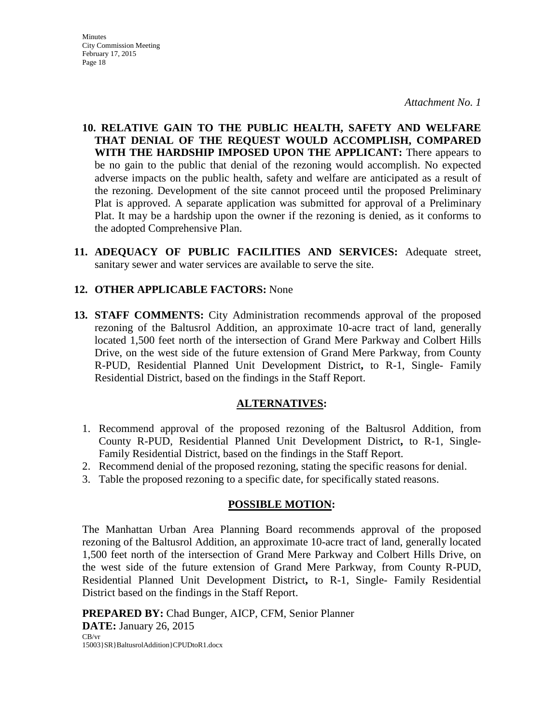**10. RELATIVE GAIN TO THE PUBLIC HEALTH, SAFETY AND WELFARE THAT DENIAL OF THE REQUEST WOULD ACCOMPLISH, COMPARED WITH THE HARDSHIP IMPOSED UPON THE APPLICANT:** There appears to be no gain to the public that denial of the rezoning would accomplish. No expected adverse impacts on the public health, safety and welfare are anticipated as a result of the rezoning. Development of the site cannot proceed until the proposed Preliminary Plat is approved. A separate application was submitted for approval of a Preliminary Plat. It may be a hardship upon the owner if the rezoning is denied, as it conforms to the adopted Comprehensive Plan.

**11. ADEQUACY OF PUBLIC FACILITIES AND SERVICES:** Adequate street, sanitary sewer and water services are available to serve the site.

#### **12. OTHER APPLICABLE FACTORS:** None

**13. STAFF COMMENTS:** City Administration recommends approval of the proposed rezoning of the Baltusrol Addition, an approximate 10-acre tract of land, generally located 1,500 feet north of the intersection of Grand Mere Parkway and Colbert Hills Drive, on the west side of the future extension of Grand Mere Parkway, from County R-PUD, Residential Planned Unit Development District**,** to R-1, Single- Family Residential District, based on the findings in the Staff Report.

#### **ALTERNATIVES:**

- 1. Recommend approval of the proposed rezoning of the Baltusrol Addition, from County R-PUD, Residential Planned Unit Development District**,** to R-1, Single-Family Residential District, based on the findings in the Staff Report.
- 2. Recommend denial of the proposed rezoning, stating the specific reasons for denial.
- 3. Table the proposed rezoning to a specific date, for specifically stated reasons.

#### **POSSIBLE MOTION:**

The Manhattan Urban Area Planning Board recommends approval of the proposed rezoning of the Baltusrol Addition, an approximate 10-acre tract of land, generally located 1,500 feet north of the intersection of Grand Mere Parkway and Colbert Hills Drive, on the west side of the future extension of Grand Mere Parkway, from County R-PUD, Residential Planned Unit Development District**,** to R-1, Single- Family Residential District based on the findings in the Staff Report.

**PREPARED BY:** Chad Bunger, AICP, CFM, Senior Planner **DATE:** January 26, 2015 CB/vr 15003}SR}BaltusrolAddition}CPUDtoR1.docx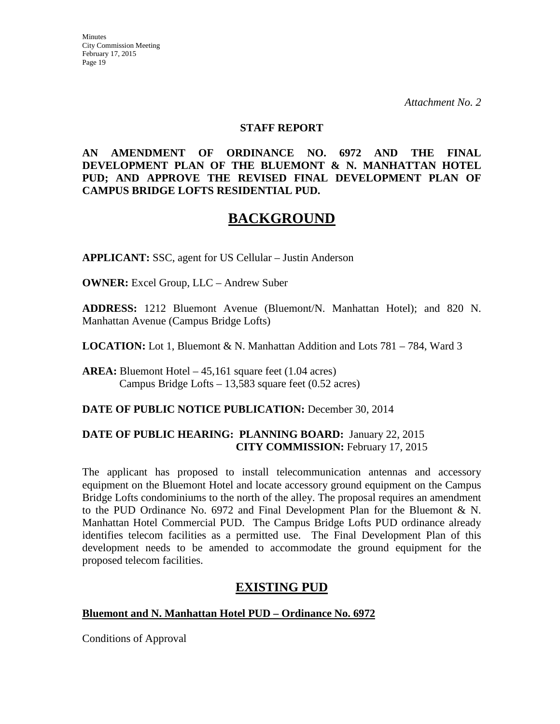#### **STAFF REPORT**

#### **AN AMENDMENT OF ORDINANCE NO. 6972 AND THE FINAL DEVELOPMENT PLAN OF THE BLUEMONT & N. MANHATTAN HOTEL PUD; AND APPROVE THE REVISED FINAL DEVELOPMENT PLAN OF CAMPUS BRIDGE LOFTS RESIDENTIAL PUD.**

# **BACKGROUND**

**APPLICANT:** SSC, agent for US Cellular – Justin Anderson

**OWNER:** Excel Group, LLC – Andrew Suber

**ADDRESS:** 1212 Bluemont Avenue (Bluemont/N. Manhattan Hotel); and 820 N. Manhattan Avenue (Campus Bridge Lofts)

**LOCATION:** Lot 1, Bluemont & N. Manhattan Addition and Lots 781 – 784, Ward 3

**AREA:** Bluemont Hotel – 45,161 square feet (1.04 acres) Campus Bridge Lofts – 13,583 square feet (0.52 acres)

#### **DATE OF PUBLIC NOTICE PUBLICATION:** December 30, 2014

#### **DATE OF PUBLIC HEARING: PLANNING BOARD:** January 22, 2015 **CITY COMMISSION:** February 17, 2015

The applicant has proposed to install telecommunication antennas and accessory equipment on the Bluemont Hotel and locate accessory ground equipment on the Campus Bridge Lofts condominiums to the north of the alley. The proposal requires an amendment to the PUD Ordinance No. 6972 and Final Development Plan for the Bluemont & N. Manhattan Hotel Commercial PUD. The Campus Bridge Lofts PUD ordinance already identifies telecom facilities as a permitted use. The Final Development Plan of this development needs to be amended to accommodate the ground equipment for the proposed telecom facilities.

## **EXISTING PUD**

#### **Bluemont and N. Manhattan Hotel PUD – Ordinance No. 6972**

Conditions of Approval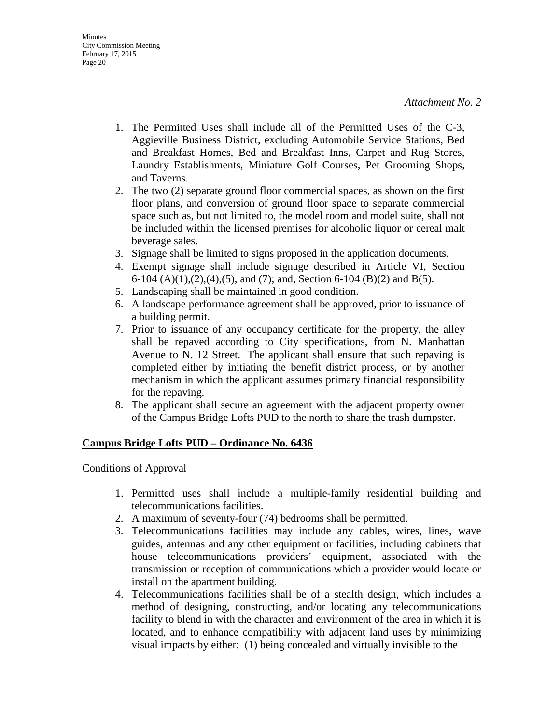- 1. The Permitted Uses shall include all of the Permitted Uses of the C-3, Aggieville Business District, excluding Automobile Service Stations, Bed and Breakfast Homes, Bed and Breakfast Inns, Carpet and Rug Stores, Laundry Establishments, Miniature Golf Courses, Pet Grooming Shops, and Taverns.
- 2. The two (2) separate ground floor commercial spaces, as shown on the first floor plans, and conversion of ground floor space to separate commercial space such as, but not limited to, the model room and model suite, shall not be included within the licensed premises for alcoholic liquor or cereal malt beverage sales.
- 3. Signage shall be limited to signs proposed in the application documents.
- 4. Exempt signage shall include signage described in Article VI, Section 6-104 (A)(1),(2),(4),(5), and (7); and, Section 6-104 (B)(2) and B(5).
- 5. Landscaping shall be maintained in good condition.
- 6. A landscape performance agreement shall be approved, prior to issuance of a building permit.
- 7. Prior to issuance of any occupancy certificate for the property, the alley shall be repaved according to City specifications, from N. Manhattan Avenue to N. 12 Street. The applicant shall ensure that such repaving is completed either by initiating the benefit district process, or by another mechanism in which the applicant assumes primary financial responsibility for the repaving.
- 8. The applicant shall secure an agreement with the adjacent property owner of the Campus Bridge Lofts PUD to the north to share the trash dumpster.

#### **Campus Bridge Lofts PUD – Ordinance No. 6436**

Conditions of Approval

- 1. Permitted uses shall include a multiple-family residential building and telecommunications facilities.
- 2. A maximum of seventy-four (74) bedrooms shall be permitted.
- 3. Telecommunications facilities may include any cables, wires, lines, wave guides, antennas and any other equipment or facilities, including cabinets that house telecommunications providers' equipment, associated with the transmission or reception of communications which a provider would locate or install on the apartment building.
- 4. Telecommunications facilities shall be of a stealth design, which includes a method of designing, constructing, and/or locating any telecommunications facility to blend in with the character and environment of the area in which it is located, and to enhance compatibility with adjacent land uses by minimizing visual impacts by either: (1) being concealed and virtually invisible to the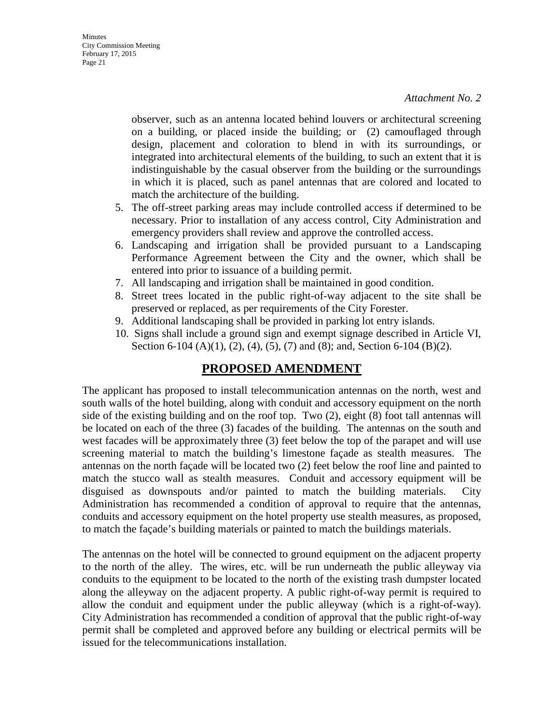observer, such as an antenna located behind louvers or architectural screening on a building, or placed inside the building; or (2) camouflaged through design, placement and coloration to blend in with its surroundings, or integrated into architectural elements of the building, to such an extent that it is indistinguishable by the casual observer from the building or the surroundings in which it is placed, such as panel antennas that are colored and located to match the architecture of the building.

- 5. The off-street parking areas may include controlled access if determined to be necessary. Prior to installation of any access control, City Administration and emergency providers shall review and approve the controlled access.
- 6. Landscaping and irrigation shall be provided pursuant to a Landscaping Performance Agreement between the City and the owner, which shall be entered into prior to issuance of a building permit.
- 7. All landscaping and irrigation shall be maintained in good condition.
- 8. Street trees located in the public right-of-way adjacent to the site shall be preserved or replaced, as per requirements of the City Forester.
- 9. Additional landscaping shall be provided in parking lot entry islands.
- 10. Signs shall include a ground sign and exempt signage described in Article VI, Section 6-104 (A)(1), (2), (4), (5), (7) and (8); and, Section 6-104 (B)(2).

## **PROPOSED AMENDMENT**

The applicant has proposed to install telecommunication antennas on the north, west and south walls of the hotel building, along with conduit and accessory equipment on the north side of the existing building and on the roof top. Two (2), eight (8) foot tall antennas will be located on each of the three (3) facades of the building. The antennas on the south and west facades will be approximately three (3) feet below the top of the parapet and will use screening material to match the building's limestone façade as stealth measures. The antennas on the north façade will be located two (2) feet below the roof line and painted to match the stucco wall as stealth measures. Conduit and accessory equipment will be disguised as downspouts and/or painted to match the building materials. City Administration has recommended a condition of approval to require that the antennas, conduits and accessory equipment on the hotel property use stealth measures, as proposed, to match the façade's building materials or painted to match the buildings materials.

The antennas on the hotel will be connected to ground equipment on the adjacent property to the north of the alley. The wires, etc. will be run underneath the public alleyway via conduits to the equipment to be located to the north of the existing trash dumpster located along the alleyway on the adjacent property. A public right-of-way permit is required to allow the conduit and equipment under the public alleyway (which is a right-of-way). City Administration has recommended a condition of approval that the public right-of-way permit shall be completed and approved before any building or electrical permits will be issued for the telecommunications installation.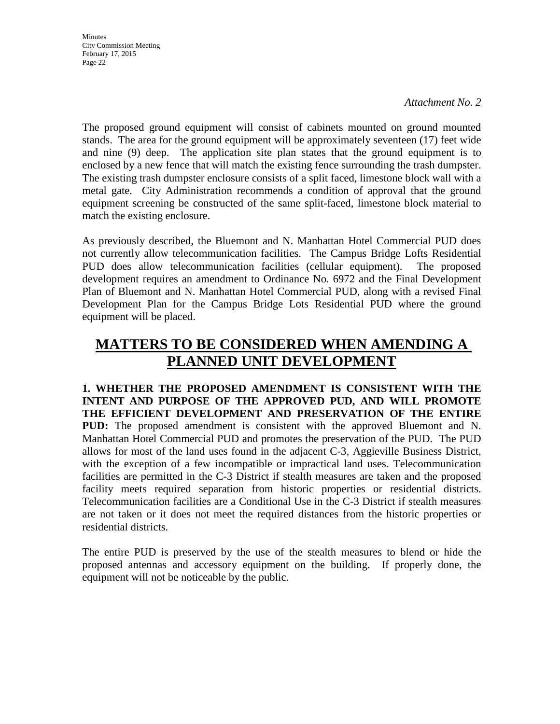*Attachment No. 2*

The proposed ground equipment will consist of cabinets mounted on ground mounted stands. The area for the ground equipment will be approximately seventeen (17) feet wide and nine (9) deep. The application site plan states that the ground equipment is to enclosed by a new fence that will match the existing fence surrounding the trash dumpster. The existing trash dumpster enclosure consists of a split faced, limestone block wall with a metal gate. City Administration recommends a condition of approval that the ground equipment screening be constructed of the same split-faced, limestone block material to match the existing enclosure.

As previously described, the Bluemont and N. Manhattan Hotel Commercial PUD does not currently allow telecommunication facilities. The Campus Bridge Lofts Residential PUD does allow telecommunication facilities (cellular equipment). The proposed development requires an amendment to Ordinance No. 6972 and the Final Development Plan of Bluemont and N. Manhattan Hotel Commercial PUD, along with a revised Final Development Plan for the Campus Bridge Lots Residential PUD where the ground equipment will be placed.

# **MATTERS TO BE CONSIDERED WHEN AMENDING A PLANNED UNIT DEVELOPMENT**

**1. WHETHER THE PROPOSED AMENDMENT IS CONSISTENT WITH THE INTENT AND PURPOSE OF THE APPROVED PUD, AND WILL PROMOTE THE EFFICIENT DEVELOPMENT AND PRESERVATION OF THE ENTIRE PUD:** The proposed amendment is consistent with the approved Bluemont and N. Manhattan Hotel Commercial PUD and promotes the preservation of the PUD. The PUD allows for most of the land uses found in the adjacent C-3, Aggieville Business District, with the exception of a few incompatible or impractical land uses. Telecommunication facilities are permitted in the C-3 District if stealth measures are taken and the proposed facility meets required separation from historic properties or residential districts. Telecommunication facilities are a Conditional Use in the C-3 District if stealth measures are not taken or it does not meet the required distances from the historic properties or residential districts.

The entire PUD is preserved by the use of the stealth measures to blend or hide the proposed antennas and accessory equipment on the building. If properly done, the equipment will not be noticeable by the public.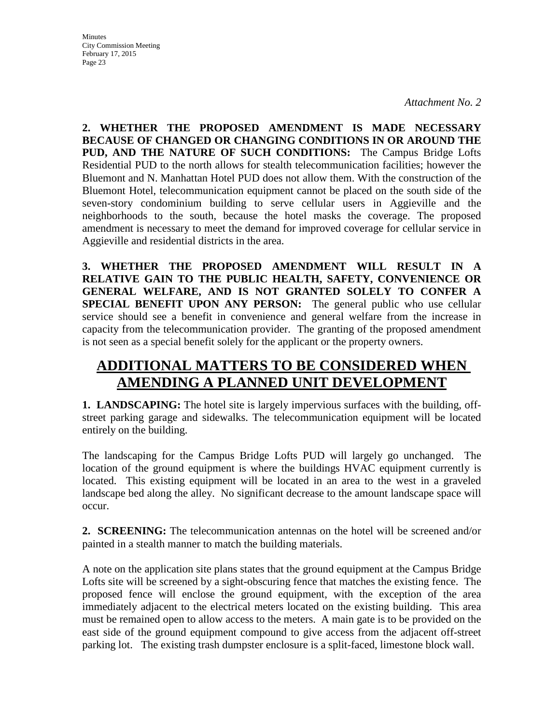**2. WHETHER THE PROPOSED AMENDMENT IS MADE NECESSARY BECAUSE OF CHANGED OR CHANGING CONDITIONS IN OR AROUND THE PUD, AND THE NATURE OF SUCH CONDITIONS:** The Campus Bridge Lofts Residential PUD to the north allows for stealth telecommunication facilities; however the Bluemont and N. Manhattan Hotel PUD does not allow them. With the construction of the Bluemont Hotel, telecommunication equipment cannot be placed on the south side of the seven-story condominium building to serve cellular users in Aggieville and the neighborhoods to the south, because the hotel masks the coverage. The proposed amendment is necessary to meet the demand for improved coverage for cellular service in Aggieville and residential districts in the area.

**3. WHETHER THE PROPOSED AMENDMENT WILL RESULT IN A RELATIVE GAIN TO THE PUBLIC HEALTH, SAFETY, CONVENIENCE OR GENERAL WELFARE, AND IS NOT GRANTED SOLELY TO CONFER A SPECIAL BENEFIT UPON ANY PERSON:** The general public who use cellular service should see a benefit in convenience and general welfare from the increase in capacity from the telecommunication provider. The granting of the proposed amendment is not seen as a special benefit solely for the applicant or the property owners.

# **ADDITIONAL MATTERS TO BE CONSIDERED WHEN AMENDING A PLANNED UNIT DEVELOPMENT**

**1. LANDSCAPING:** The hotel site is largely impervious surfaces with the building, offstreet parking garage and sidewalks. The telecommunication equipment will be located entirely on the building.

The landscaping for the Campus Bridge Lofts PUD will largely go unchanged. The location of the ground equipment is where the buildings HVAC equipment currently is located. This existing equipment will be located in an area to the west in a graveled landscape bed along the alley. No significant decrease to the amount landscape space will occur.

**2. SCREENING:** The telecommunication antennas on the hotel will be screened and/or painted in a stealth manner to match the building materials.

A note on the application site plans states that the ground equipment at the Campus Bridge Lofts site will be screened by a sight-obscuring fence that matches the existing fence. The proposed fence will enclose the ground equipment, with the exception of the area immediately adjacent to the electrical meters located on the existing building. This area must be remained open to allow access to the meters. A main gate is to be provided on the east side of the ground equipment compound to give access from the adjacent off-street parking lot. The existing trash dumpster enclosure is a split-faced, limestone block wall.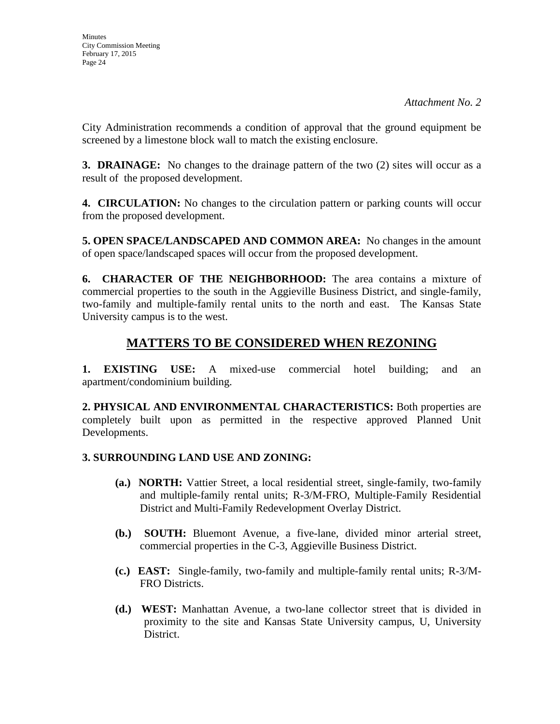City Administration recommends a condition of approval that the ground equipment be screened by a limestone block wall to match the existing enclosure.

**3. DRAINAGE:** No changes to the drainage pattern of the two (2) sites will occur as a result of the proposed development.

**4. CIRCULATION:** No changes to the circulation pattern or parking counts will occur from the proposed development.

**5. OPEN SPACE/LANDSCAPED AND COMMON AREA:** No changes in the amount of open space/landscaped spaces will occur from the proposed development.

**6. CHARACTER OF THE NEIGHBORHOOD:** The area contains a mixture of commercial properties to the south in the Aggieville Business District, and single-family, two-family and multiple-family rental units to the north and east. The Kansas State University campus is to the west.

# **MATTERS TO BE CONSIDERED WHEN REZONING**

**1. EXISTING USE:** A mixed-use commercial hotel building; and an apartment/condominium building.

**2. PHYSICAL AND ENVIRONMENTAL CHARACTERISTICS:** Both properties are completely built upon as permitted in the respective approved Planned Unit Developments.

### **3. SURROUNDING LAND USE AND ZONING:**

- **(a.) NORTH:** Vattier Street, a local residential street, single-family, two-family and multiple-family rental units; R-3/M-FRO, Multiple-Family Residential District and Multi-Family Redevelopment Overlay District.
- **(b.) SOUTH:** Bluemont Avenue, a five-lane, divided minor arterial street, commercial properties in the C-3, Aggieville Business District.
- **(c.) EAST:** Single-family, two-family and multiple-family rental units; R-3/M-FRO Districts.
- **(d.) WEST:** Manhattan Avenue, a two-lane collector street that is divided in proximity to the site and Kansas State University campus, U, University District.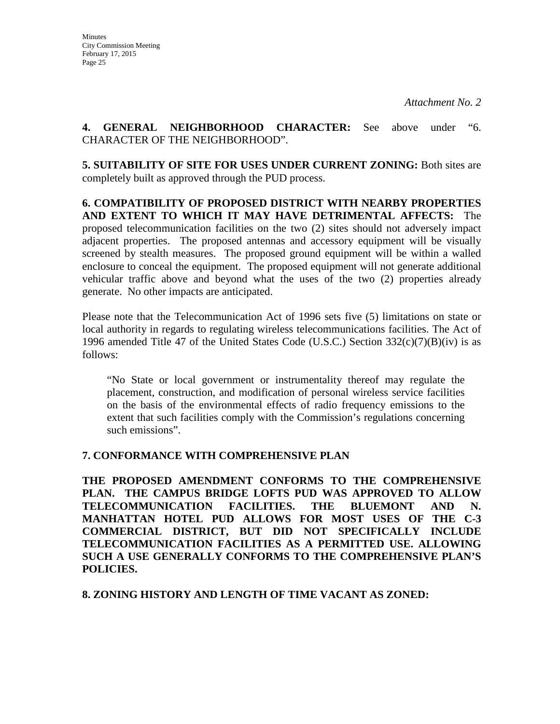**4. GENERAL NEIGHBORHOOD CHARACTER:** See above under "6. CHARACTER OF THE NEIGHBORHOOD".

**5. SUITABILITY OF SITE FOR USES UNDER CURRENT ZONING:** Both sites are completely built as approved through the PUD process.

**6. COMPATIBILITY OF PROPOSED DISTRICT WITH NEARBY PROPERTIES AND EXTENT TO WHICH IT MAY HAVE DETRIMENTAL AFFECTS:** The proposed telecommunication facilities on the two (2) sites should not adversely impact adjacent properties. The proposed antennas and accessory equipment will be visually screened by stealth measures. The proposed ground equipment will be within a walled enclosure to conceal the equipment. The proposed equipment will not generate additional vehicular traffic above and beyond what the uses of the two (2) properties already generate. No other impacts are anticipated.

Please note that the Telecommunication Act of 1996 sets five (5) limitations on state or local authority in regards to regulating wireless telecommunications facilities. The Act of 1996 amended Title 47 of the United States Code (U.S.C.) Section  $332(c)(7)(B)(iv)$  is as follows:

"No State or local government or instrumentality thereof may regulate the placement, construction, and modification of personal wireless service facilities on the basis of the environmental effects of radio frequency emissions to the extent that such facilities comply with the Commission's regulations concerning such emissions".

#### **7. CONFORMANCE WITH COMPREHENSIVE PLAN**

**THE PROPOSED AMENDMENT CONFORMS TO THE COMPREHENSIVE PLAN. THE CAMPUS BRIDGE LOFTS PUD WAS APPROVED TO ALLOW TELECOMMUNICATION FACILITIES. THE BLUEMONT AND N. MANHATTAN HOTEL PUD ALLOWS FOR MOST USES OF THE C-3 COMMERCIAL DISTRICT, BUT DID NOT SPECIFICALLY INCLUDE TELECOMMUNICATION FACILITIES AS A PERMITTED USE. ALLOWING SUCH A USE GENERALLY CONFORMS TO THE COMPREHENSIVE PLAN'S POLICIES.**

**8. ZONING HISTORY AND LENGTH OF TIME VACANT AS ZONED:**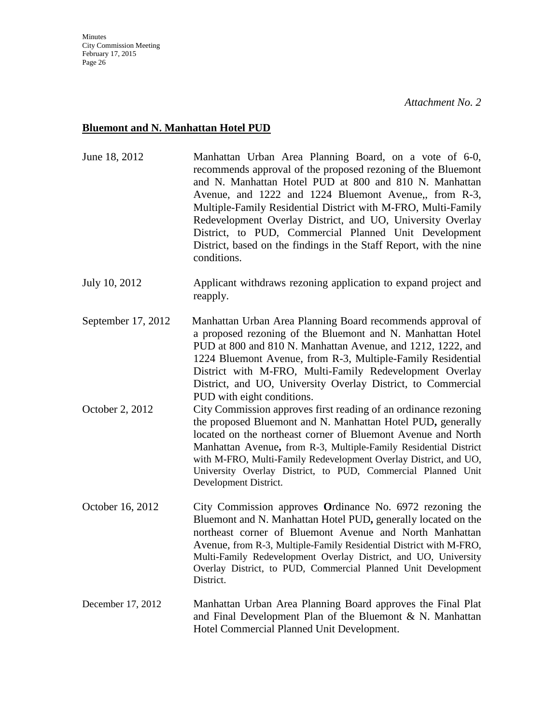## **Bluemont and N. Manhattan Hotel PUD**

| June 18, 2012      | Manhattan Urban Area Planning Board, on a vote of 6-0,<br>recommends approval of the proposed rezoning of the Bluemont<br>and N. Manhattan Hotel PUD at 800 and 810 N. Manhattan<br>Avenue, and 1222 and 1224 Bluemont Avenue,, from R-3,<br>Multiple-Family Residential District with M-FRO, Multi-Family<br>Redevelopment Overlay District, and UO, University Overlay<br>District, to PUD, Commercial Planned Unit Development<br>District, based on the findings in the Staff Report, with the nine<br>conditions. |
|--------------------|------------------------------------------------------------------------------------------------------------------------------------------------------------------------------------------------------------------------------------------------------------------------------------------------------------------------------------------------------------------------------------------------------------------------------------------------------------------------------------------------------------------------|
| July 10, 2012      | Applicant withdraws rezoning application to expand project and<br>reapply.                                                                                                                                                                                                                                                                                                                                                                                                                                             |
| September 17, 2012 | Manhattan Urban Area Planning Board recommends approval of<br>a proposed rezoning of the Bluemont and N. Manhattan Hotel<br>PUD at 800 and 810 N. Manhattan Avenue, and 1212, 1222, and<br>1224 Bluemont Avenue, from R-3, Multiple-Family Residential<br>District with M-FRO, Multi-Family Redevelopment Overlay<br>District, and UO, University Overlay District, to Commercial<br>PUD with eight conditions.                                                                                                        |
| October 2, 2012    | City Commission approves first reading of an ordinance rezoning<br>the proposed Bluemont and N. Manhattan Hotel PUD, generally<br>located on the northeast corner of Bluemont Avenue and North<br>Manhattan Avenue, from R-3, Multiple-Family Residential District<br>with M-FRO, Multi-Family Redevelopment Overlay District, and UO,<br>University Overlay District, to PUD, Commercial Planned Unit<br>Development District.                                                                                        |
| October 16, 2012   | City Commission approves Ordinance No. 6972 rezoning the<br>Bluemont and N. Manhattan Hotel PUD, generally located on the<br>northeast corner of Bluemont Avenue and North Manhattan<br>Avenue, from R-3, Multiple-Family Residential District with M-FRO,<br>Multi-Family Redevelopment Overlay District, and UO, University<br>Overlay District, to PUD, Commercial Planned Unit Development<br>District.                                                                                                            |
| December 17, 2012  | Manhattan Urban Area Planning Board approves the Final Plat<br>and Final Development Plan of the Bluemont $\& N$ . Manhattan<br>Hotel Commercial Planned Unit Development.                                                                                                                                                                                                                                                                                                                                             |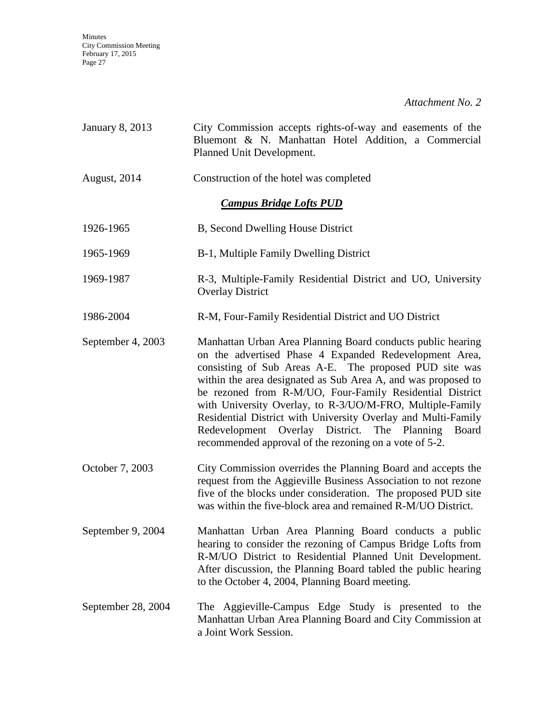*Attachment No. 2*

| January 8, 2013                | City Commission accepts rights-of-way and easements of the<br>Bluemont & N. Manhattan Hotel Addition, a Commercial<br>Planned Unit Development.                                                                                                                                                                                                                                                                                                                                                                                                                  |  |
|--------------------------------|------------------------------------------------------------------------------------------------------------------------------------------------------------------------------------------------------------------------------------------------------------------------------------------------------------------------------------------------------------------------------------------------------------------------------------------------------------------------------------------------------------------------------------------------------------------|--|
| August, 2014                   | Construction of the hotel was completed                                                                                                                                                                                                                                                                                                                                                                                                                                                                                                                          |  |
| <b>Campus Bridge Lofts PUD</b> |                                                                                                                                                                                                                                                                                                                                                                                                                                                                                                                                                                  |  |
| 1926-1965                      | B, Second Dwelling House District                                                                                                                                                                                                                                                                                                                                                                                                                                                                                                                                |  |
| 1965-1969                      | B-1, Multiple Family Dwelling District                                                                                                                                                                                                                                                                                                                                                                                                                                                                                                                           |  |
| 1969-1987                      | R-3, Multiple-Family Residential District and UO, University<br><b>Overlay District</b>                                                                                                                                                                                                                                                                                                                                                                                                                                                                          |  |
| 1986-2004                      | R-M, Four-Family Residential District and UO District                                                                                                                                                                                                                                                                                                                                                                                                                                                                                                            |  |
| September 4, 2003              | Manhattan Urban Area Planning Board conducts public hearing<br>on the advertised Phase 4 Expanded Redevelopment Area,<br>consisting of Sub Areas A-E. The proposed PUD site was<br>within the area designated as Sub Area A, and was proposed to<br>be rezoned from R-M/UO, Four-Family Residential District<br>with University Overlay, to R-3/UO/M-FRO, Multiple-Family<br>Residential District with University Overlay and Multi-Family<br>Redevelopment Overlay District.<br>The Planning<br>Board<br>recommended approval of the rezoning on a vote of 5-2. |  |
| October 7, 2003                | City Commission overrides the Planning Board and accepts the<br>request from the Aggieville Business Association to not rezone<br>five of the blocks under consideration. The proposed PUD site<br>was within the five-block area and remained R-M/UO District.                                                                                                                                                                                                                                                                                                  |  |
| September 9, 2004              | Manhattan Urban Area Planning Board conducts a public<br>hearing to consider the rezoning of Campus Bridge Lofts from<br>R-M/UO District to Residential Planned Unit Development.<br>After discussion, the Planning Board tabled the public hearing<br>to the October 4, 2004, Planning Board meeting.                                                                                                                                                                                                                                                           |  |
| September 28, 2004             | The Aggieville-Campus Edge Study is presented to the<br>Manhattan Urban Area Planning Board and City Commission at<br>a Joint Work Session.                                                                                                                                                                                                                                                                                                                                                                                                                      |  |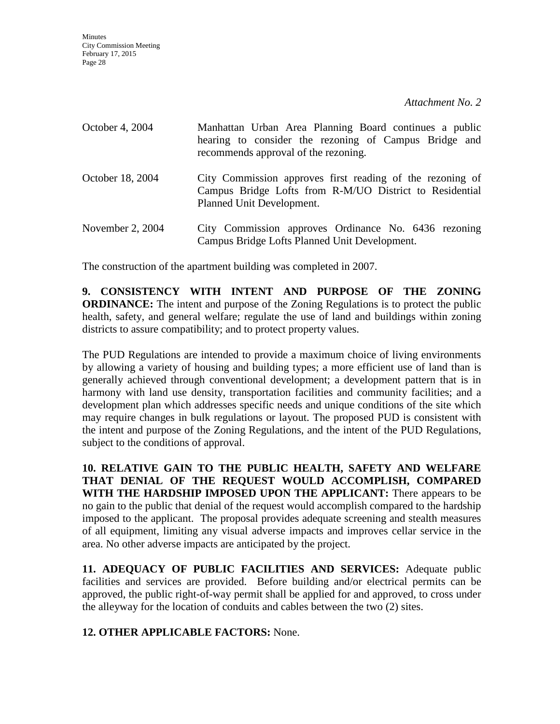| October 4, 2004  | Manhattan Urban Area Planning Board continues a public<br>hearing to consider the rezoning of Campus Bridge and<br>recommends approval of the rezoning. |
|------------------|---------------------------------------------------------------------------------------------------------------------------------------------------------|
| October 18, 2004 | City Commission approves first reading of the rezoning of<br>Campus Bridge Lofts from R-M/UO District to Residential<br>Planned Unit Development.       |
| November 2, 2004 | City Commission approves Ordinance No. 6436 rezoning<br>Campus Bridge Lofts Planned Unit Development.                                                   |

The construction of the apartment building was completed in 2007.

**9. CONSISTENCY WITH INTENT AND PURPOSE OF THE ZONING ORDINANCE:** The intent and purpose of the Zoning Regulations is to protect the public health, safety, and general welfare; regulate the use of land and buildings within zoning districts to assure compatibility; and to protect property values.

The PUD Regulations are intended to provide a maximum choice of living environments by allowing a variety of housing and building types; a more efficient use of land than is generally achieved through conventional development; a development pattern that is in harmony with land use density, transportation facilities and community facilities; and a development plan which addresses specific needs and unique conditions of the site which may require changes in bulk regulations or layout. The proposed PUD is consistent with the intent and purpose of the Zoning Regulations, and the intent of the PUD Regulations, subject to the conditions of approval.

**10. RELATIVE GAIN TO THE PUBLIC HEALTH, SAFETY AND WELFARE THAT DENIAL OF THE REQUEST WOULD ACCOMPLISH, COMPARED WITH THE HARDSHIP IMPOSED UPON THE APPLICANT:** There appears to be no gain to the public that denial of the request would accomplish compared to the hardship imposed to the applicant. The proposal provides adequate screening and stealth measures of all equipment, limiting any visual adverse impacts and improves cellar service in the area. No other adverse impacts are anticipated by the project.

**11. ADEQUACY OF PUBLIC FACILITIES AND SERVICES:** Adequate public facilities and services are provided. Before building and/or electrical permits can be approved, the public right-of-way permit shall be applied for and approved, to cross under the alleyway for the location of conduits and cables between the two (2) sites.

**12. OTHER APPLICABLE FACTORS:** None.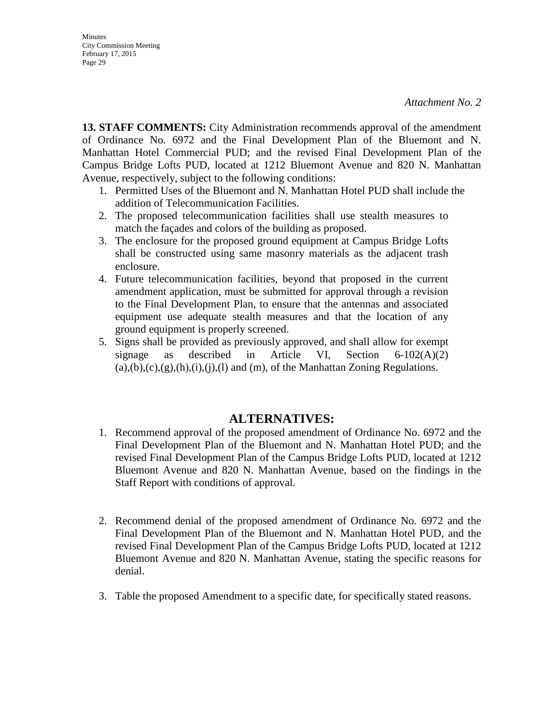**13. STAFF COMMENTS:** City Administration recommends approval of the amendment of Ordinance No. 6972 and the Final Development Plan of the Bluemont and N. Manhattan Hotel Commercial PUD; and the revised Final Development Plan of the Campus Bridge Lofts PUD, located at 1212 Bluemont Avenue and 820 N. Manhattan Avenue, respectively, subject to the following conditions:

- 1. Permitted Uses of the Bluemont and N. Manhattan Hotel PUD shall include the addition of Telecommunication Facilities.
- 2. The proposed telecommunication facilities shall use stealth measures to match the façades and colors of the building as proposed.
- 3. The enclosure for the proposed ground equipment at Campus Bridge Lofts shall be constructed using same masonry materials as the adjacent trash enclosure.
- 4. Future telecommunication facilities, beyond that proposed in the current amendment application, must be submitted for approval through a revision to the Final Development Plan, to ensure that the antennas and associated equipment use adequate stealth measures and that the location of any ground equipment is properly screened.
- 5. Signs shall be provided as previously approved, and shall allow for exempt signage as described in Article VI, Section 6-102(A)(2)  $(a),(b),(c),(g),(h),(i),(l),(l)$  and  $(m)$ , of the Manhattan Zoning Regulations.

## **ALTERNATIVES:**

- 1. Recommend approval of the proposed amendment of Ordinance No. 6972 and the Final Development Plan of the Bluemont and N. Manhattan Hotel PUD; and the revised Final Development Plan of the Campus Bridge Lofts PUD, located at 1212 Bluemont Avenue and 820 N. Manhattan Avenue, based on the findings in the Staff Report with conditions of approval.
- 2. Recommend denial of the proposed amendment of Ordinance No. 6972 and the Final Development Plan of the Bluemont and N. Manhattan Hotel PUD, and the revised Final Development Plan of the Campus Bridge Lofts PUD, located at 1212 Bluemont Avenue and 820 N. Manhattan Avenue, stating the specific reasons for denial.
- 3. Table the proposed Amendment to a specific date, for specifically stated reasons.